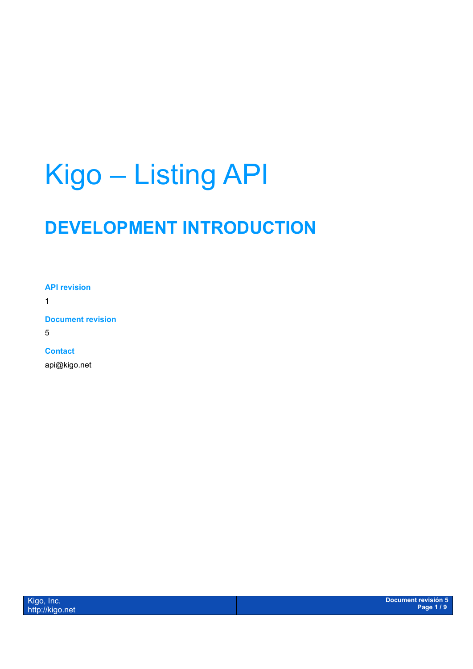# Kigo – Listing API

## **DEVELOPMENT INTRODUCTION**

**API revision**

1

**Document revision**

5

#### **Contact**

api@kigo.net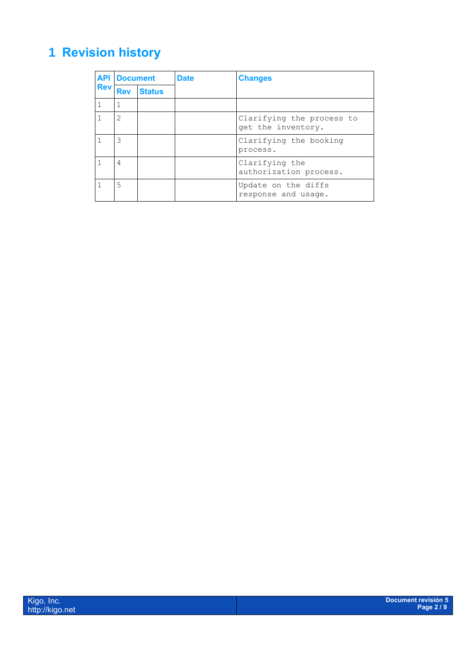## <span id="page-1-0"></span>**1 Revision history**

|            | <b>API Document</b> |               | <b>Date</b> | <b>Changes</b>                                  |
|------------|---------------------|---------------|-------------|-------------------------------------------------|
| <b>Rev</b> | <b>Rev</b>          | <b>Status</b> |             |                                                 |
| 1          | 1                   |               |             |                                                 |
| 1          | 2                   |               |             | Clarifying the process to<br>get the inventory. |
|            | 3                   |               |             | Clarifying the booking<br>process.              |
| 1          | 4                   |               |             | Clarifying the<br>authorization process.        |
|            | 5                   |               |             | Update on the diffs<br>response and usage.      |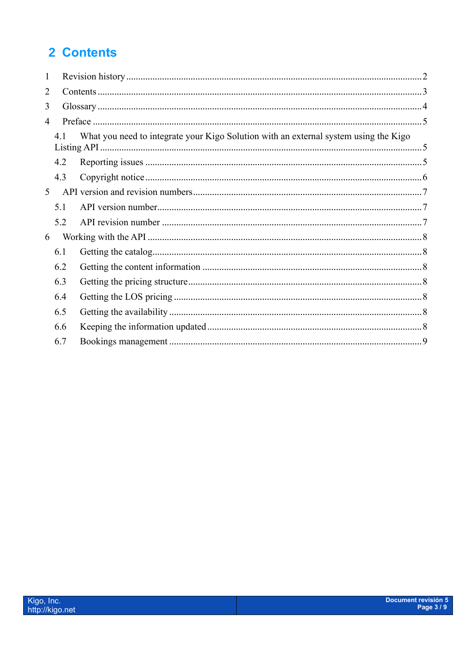## <span id="page-2-0"></span>2 Contents

| $\mathbf{1}$ |     |                                                                                      |  |  |  |  |  |
|--------------|-----|--------------------------------------------------------------------------------------|--|--|--|--|--|
| 2            |     |                                                                                      |  |  |  |  |  |
| 3            |     |                                                                                      |  |  |  |  |  |
| 4            |     |                                                                                      |  |  |  |  |  |
|              | 4.1 | What you need to integrate your Kigo Solution with an external system using the Kigo |  |  |  |  |  |
|              | 4.2 |                                                                                      |  |  |  |  |  |
|              | 4.3 |                                                                                      |  |  |  |  |  |
| 5            |     |                                                                                      |  |  |  |  |  |
|              | 5.1 |                                                                                      |  |  |  |  |  |
|              | 5.2 |                                                                                      |  |  |  |  |  |
| 6            |     |                                                                                      |  |  |  |  |  |
|              | 6.1 |                                                                                      |  |  |  |  |  |
|              | 6.2 |                                                                                      |  |  |  |  |  |
|              | 6.3 |                                                                                      |  |  |  |  |  |
|              | 6.4 |                                                                                      |  |  |  |  |  |
|              | 6.5 |                                                                                      |  |  |  |  |  |
|              | 6.6 |                                                                                      |  |  |  |  |  |
|              | 6.7 |                                                                                      |  |  |  |  |  |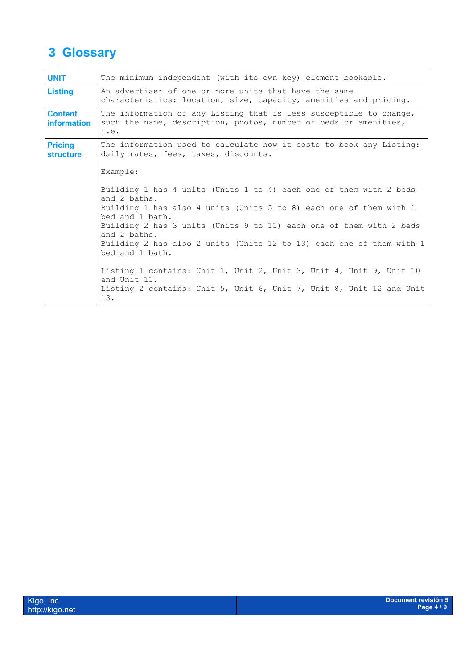## <span id="page-3-0"></span>**3 Glossary**

| <b>UNIT</b>                          | The minimum independent (with its own key) element bookable.                                                                                                                                                                                                                                                                                                                                                                         |  |  |  |  |  |
|--------------------------------------|--------------------------------------------------------------------------------------------------------------------------------------------------------------------------------------------------------------------------------------------------------------------------------------------------------------------------------------------------------------------------------------------------------------------------------------|--|--|--|--|--|
| <b>Listing</b>                       | An advertiser of one or more units that have the same<br>characteristics: location, size, capacity, amenities and pricing.                                                                                                                                                                                                                                                                                                           |  |  |  |  |  |
| <b>Content</b><br><b>information</b> | The information of any Listing that is less susceptible to change,<br>such the name, description, photos, number of beds or amenities,<br>i.e.                                                                                                                                                                                                                                                                                       |  |  |  |  |  |
| <b>Pricing</b><br><b>structure</b>   | The information used to calculate how it costs to book any Listing:<br>daily rates, fees, taxes, discounts.                                                                                                                                                                                                                                                                                                                          |  |  |  |  |  |
|                                      | Example:                                                                                                                                                                                                                                                                                                                                                                                                                             |  |  |  |  |  |
|                                      | Building 1 has 4 units (Units 1 to 4) each one of them with 2 beds<br>and 2 baths.<br>Building 1 has also 4 units (Units 5 to 8) each one of them with 1<br>bed and 1 bath.<br>Building 2 has 3 units (Units 9 to 11) each one of them with 2 beds<br>and 2 baths.<br>Building 2 has also 2 units (Units 12 to 13) each one of them with 1<br>bed and 1 bath.<br>Listing 1 contains: Unit 1, Unit 2, Unit 3, Unit 4, Unit 9, Unit 10 |  |  |  |  |  |
|                                      | and Unit 11.<br>Listing 2 contains: Unit 5, Unit 6, Unit 7, Unit 8, Unit 12 and Unit<br>13.                                                                                                                                                                                                                                                                                                                                          |  |  |  |  |  |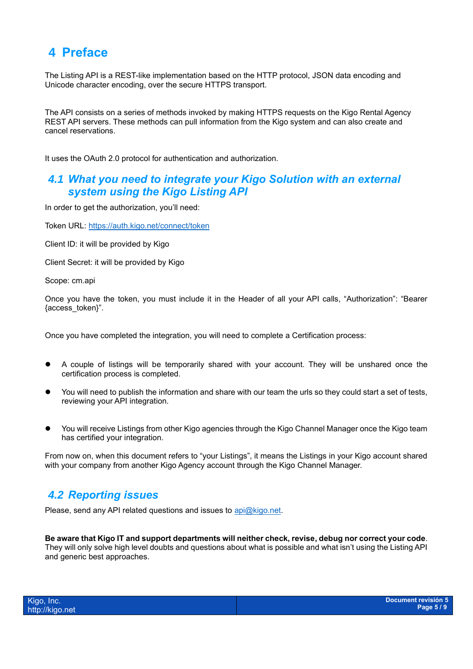## <span id="page-4-0"></span>**4 Preface**

The Listing API is a REST-like implementation based on the HTTP protocol, JSON data encoding and Unicode character encoding, over the secure HTTPS transport.

The API consists on a series of methods invoked by making HTTPS requests on the Kigo Rental Agency REST API servers. These methods can pull information from the Kigo system and can also create and cancel reservations.

It uses the OAuth 2.0 protocol for authentication and authorization.

#### <span id="page-4-1"></span>*4.1 What you need to integrate your Kigo Solution with an external system using the Kigo Listing API*

In order to get the authorization, you'll need:

Token URL:<https://auth.kigo.net/connect/token>

Client ID: it will be provided by Kigo

Client Secret: it will be provided by Kigo

Scope: cm.api

Once you have the token, you must include it in the Header of all your API calls, "Authorization": "Bearer {access\_token}".

Once you have completed the integration, you will need to complete a Certification process:

- ⚫ A couple of listings will be temporarily shared with your account. They will be unshared once the certification process is completed.
- You will need to publish the information and share with our team the urls so they could start a set of tests, reviewing your API integration.
- ⚫ You will receive Listings from other Kigo agencies through the Kigo Channel Manager once the Kigo team has certified your integration.

From now on, when this document refers to "your Listings", it means the Listings in your Kigo account shared with your company from another Kigo Agency account through the Kigo Channel Manager.

#### <span id="page-4-2"></span>*4.2 Reporting issues*

Please, send any API related questions and issues to [api@kigo.net.](mailto:api@kigo.net)

**Be aware that Kigo IT and support departments will neither check, revise, debug nor correct your code**. They will only solve high level doubts and questions about what is possible and what isn't using the Listing API and generic best approaches.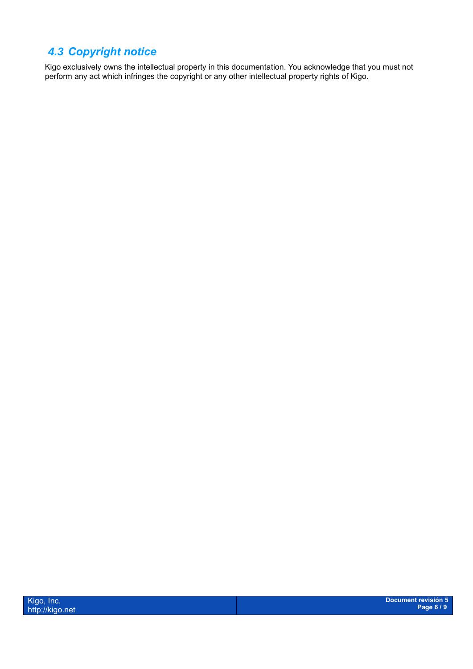## <span id="page-5-0"></span>*4.3 Copyright notice*

Kigo exclusively owns the intellectual property in this documentation. You acknowledge that you must not perform any act which infringes the copyright or any other intellectual property rights of Kigo.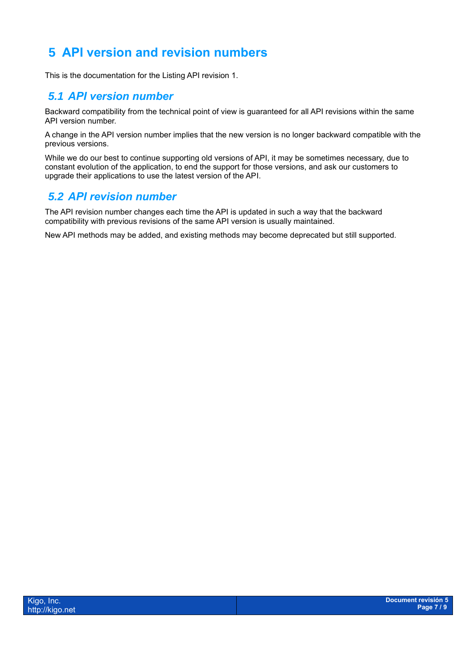## <span id="page-6-0"></span>**5 API version and revision numbers**

This is the documentation for the Listing API revision 1.

#### <span id="page-6-1"></span>*5.1 API version number*

Backward compatibility from the technical point of view is guaranteed for all API revisions within the same API version number.

A change in the API version number implies that the new version is no longer backward compatible with the previous versions.

While we do our best to continue supporting old versions of API, it may be sometimes necessary, due to constant evolution of the application, to end the support for those versions, and ask our customers to upgrade their applications to use the latest version of the API.

#### <span id="page-6-2"></span>*5.2 API revision number*

The API revision number changes each time the API is updated in such a way that the backward compatibility with previous revisions of the same API version is usually maintained.

New API methods may be added, and existing methods may become deprecated but still supported.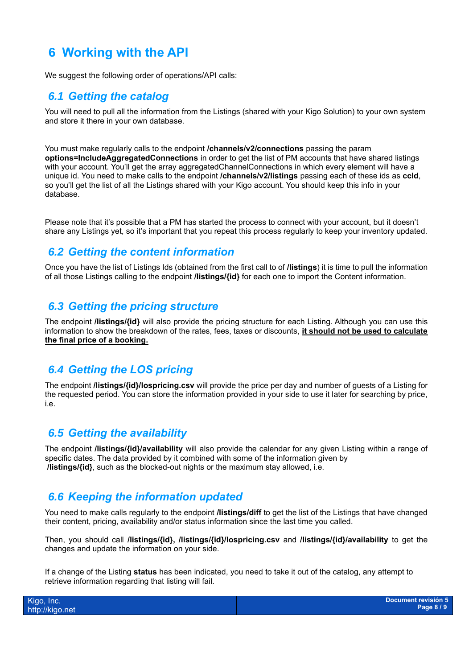### <span id="page-7-0"></span>**6 Working with the API**

We suggest the following order of operations/API calls:

#### <span id="page-7-1"></span>*6.1 Getting the catalog*

You will need to pull all the information from the Listings (shared with your Kigo Solution) to your own system and store it there in your own database.

You must make regularly calls to the endpoint **/channels/v2/connections** passing the param **options=IncludeAggregatedConnections** in order to get the list of PM accounts that have shared listings with your account. You'll get the array aggregatedChannelConnections in which every element will have a unique id. You need to make calls to the endpoint **/channels/v2/listings** passing each of these ids as **ccId**, so you'll get the list of all the Listings shared with your Kigo account. You should keep this info in your database.

Please note that it's possible that a PM has started the process to connect with your account, but it doesn't share any Listings yet, so it's important that you repeat this process regularly to keep your inventory updated.

#### <span id="page-7-2"></span>*6.2 Getting the content information*

Once you have the list of Listings Ids (obtained from the first call to of **/listings**) it is time to pull the information of all those Listings calling to the endpoint **/listings/{id}** for each one to import the Content information.

#### <span id="page-7-3"></span>*6.3 Getting the pricing structure*

The endpoint **/listings/{id}** will also provide the pricing structure for each Listing. Although you can use this information to show the breakdown of the rates, fees, taxes or discounts, **it should not be used to calculate the final price of a booking.**

#### <span id="page-7-4"></span>*6.4 Getting the LOS pricing*

The endpoint **/listings/{id}/lospricing.csv** will provide the price per day and number of guests of a Listing for the requested period. You can store the information provided in your side to use it later for searching by price, i.e.

#### <span id="page-7-5"></span>*6.5 Getting the availability*

The endpoint **/listings/{id}/availability** will also provide the calendar for any given Listing within a range of specific dates. The data provided by it combined with some of the information given by **/listings/{id}**, such as the blocked-out nights or the maximum stay allowed, i.e.

#### <span id="page-7-6"></span>*6.6 Keeping the information updated*

You need to make calls regularly to the endpoint **/listings/diff** to get the list of the Listings that have changed their content, pricing, availability and/or status information since the last time you called.

Then, you should call **/listings/{id}, /listings/{id}/lospricing.csv** and **/listings/{id}/availability** to get the changes and update the information on your side.

If a change of the Listing **status** has been indicated, you need to take it out of the catalog, any attempt to retrieve information regarding that listing will fail.